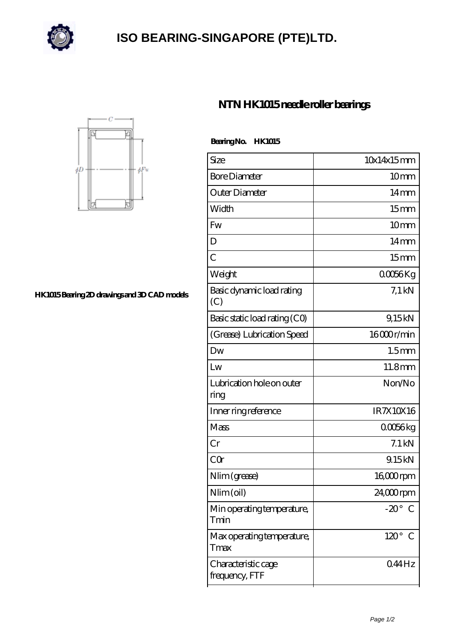

## **[ISO BEARING-SINGAPORE \(PTE\)LTD.](https://m.calvadosbnb.com)**



**[HK1015 Bearing 2D drawings and 3D CAD models](https://m.calvadosbnb.com/pic-65129385.html)**

## **[NTN HK1015 needle roller bearings](https://m.calvadosbnb.com/ntn-hk1015-bearing/)**

 **Bearing No. HK1015**

| Size                                  | 10x14x15mm                 |
|---------------------------------------|----------------------------|
| <b>Bore Diameter</b>                  | 10mm                       |
| Outer Diameter                        | $14 \text{mm}$             |
| Width                                 | 15 <sub>mm</sub>           |
| Fw                                    | 10 <sub>mm</sub>           |
| D                                     | 14 <sub>mm</sub>           |
| $\overline{C}$                        | 15 <sub>mm</sub>           |
| Weight                                | QOG6Kg                     |
| Basic dynamic load rating<br>(C)      | $7.1$ kN                   |
| Basic static load rating (CO)         | 9,15kN                     |
| (Grease) Lubrication Speed            | 16000r/min                 |
| Dw                                    | 1.5 <sub>mm</sub>          |
| Lw                                    | 11.8mm                     |
| Lubrication hole on outer<br>ring     | Non/No                     |
| Inner ring reference                  | IR7X10X16                  |
| Mass                                  | 00056kg                    |
| Cr                                    | $7.1$ kN                   |
| CQr                                   | 9.15kN                     |
| Nlim (grease)                         | 16 <sub>co</sub> component |
| Nlim(oil)                             | 24,000rpm                  |
| Min operating temperature,<br>Tmin    | $-20^\circ$<br>€           |
| Max operating temperature,<br>Tmax    | $120^{\circ}$<br>C         |
| Characteristic cage<br>frequency, FTF | 044Hz                      |